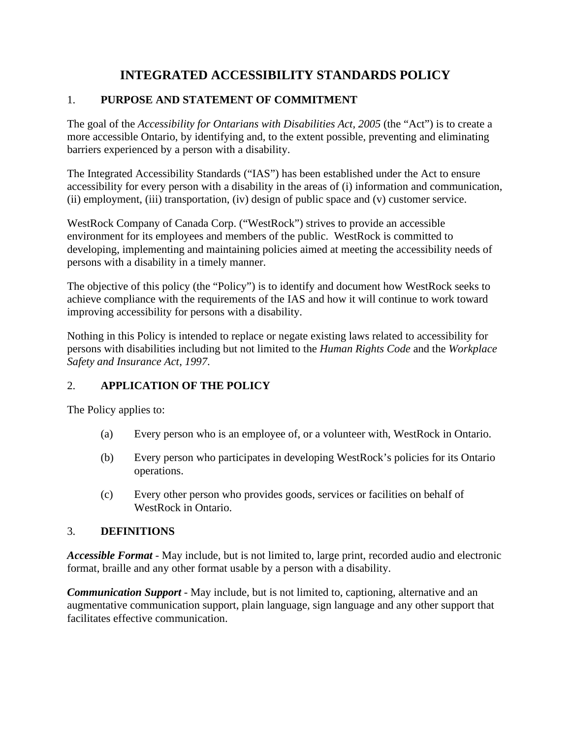# **INTEGRATED ACCESSIBILITY STANDARDS POLICY**

## 1. **PURPOSE AND STATEMENT OF COMMITMENT**

The goal of the *Accessibility for Ontarians with Disabilities Act, 2005* (the "Act") is to create a more accessible Ontario, by identifying and, to the extent possible, preventing and eliminating barriers experienced by a person with a disability.

The Integrated Accessibility Standards ("IAS") has been established under the Act to ensure accessibility for every person with a disability in the areas of (i) information and communication, (ii) employment, (iii) transportation, (iv) design of public space and (v) customer service.

WestRock Company of Canada Corp. ("WestRock") strives to provide an accessible environment for its employees and members of the public. WestRock is committed to developing, implementing and maintaining policies aimed at meeting the accessibility needs of persons with a disability in a timely manner.

The objective of this policy (the "Policy") is to identify and document how WestRock seeks to achieve compliance with the requirements of the IAS and how it will continue to work toward improving accessibility for persons with a disability.

Nothing in this Policy is intended to replace or negate existing laws related to accessibility for persons with disabilities including but not limited to the *Human Rights Code* and the *Workplace Safety and Insurance Act*, *1997*.

## 2. **APPLICATION OF THE POLICY**

The Policy applies to:

- (a) Every person who is an employee of, or a volunteer with, WestRock in Ontario.
- (b) Every person who participates in developing WestRock's policies for its Ontario operations.
- (c) Every other person who provides goods, services or facilities on behalf of WestRock in Ontario.

## 3. **DEFINITIONS**

*Accessible Format -* May include, but is not limited to, large print, recorded audio and electronic format, braille and any other format usable by a person with a disability.

*Communication Support* - May include, but is not limited to, captioning, alternative and an augmentative communication support, plain language, sign language and any other support that facilitates effective communication.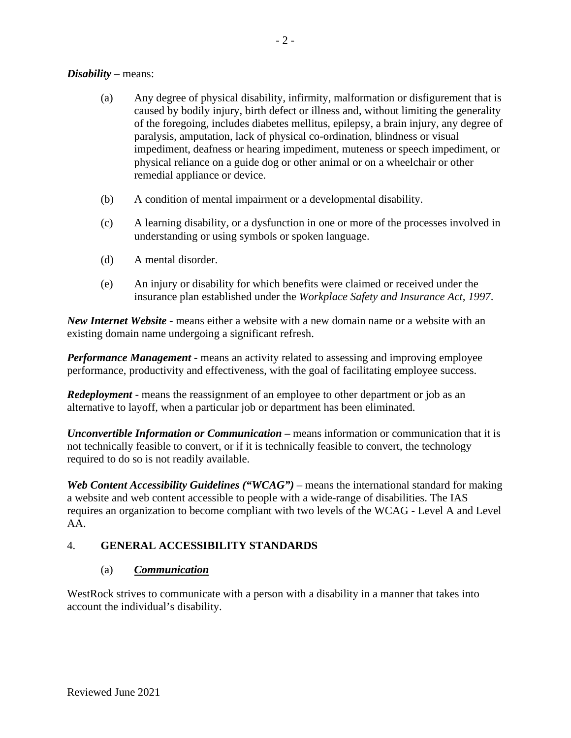#### *Disability* – means:

- (a) Any degree of physical disability, infirmity, malformation or disfigurement that is caused by bodily injury, birth defect or illness and, without limiting the generality of the foregoing, includes diabetes mellitus, epilepsy, a brain injury, any degree of paralysis, amputation, lack of physical co-ordination, blindness or visual impediment, deafness or hearing impediment, muteness or speech impediment, or physical reliance on a guide dog or other animal or on a wheelchair or other remedial appliance or device.
- (b) A condition of mental impairment or a developmental disability.
- (c) A learning disability, or a dysfunction in one or more of the processes involved in understanding or using symbols or spoken language.
- (d) A mental disorder.
- (e) An injury or disability for which benefits were claimed or received under the insurance plan established under the *[Workplace Safety and Insurance Act, 1997](http://www.canlii.org/en/on/laws/stat/so-1997-c-16-sch-a/latest/so-1997-c-16-sch-a.html)*.

*New Internet Website -* means either a website with a new domain name or a website with an existing domain name undergoing a significant refresh.

*Performance Management -* means an activity related to assessing and improving employee performance, productivity and effectiveness, with the goal of facilitating employee success.

*Redeployment* - means the reassignment of an employee to other department or job as an alternative to layoff, when a particular job or department has been eliminated.

*Unconvertible Information or Communication* **–** means information or communication that it is not technically feasible to convert, or if it is technically feasible to convert, the technology required to do so is not readily available.

*Web Content Accessibility Guidelines ("WCAG") –* means the international standard for making a website and web content accessible to people with a wide-range of disabilities. The IAS requires an organization to become compliant with two levels of the WCAG - Level A and Level AA.

### 4. **GENERAL ACCESSIBILITY STANDARDS**

#### (a) *Communication*

WestRock strives to communicate with a person with a disability in a manner that takes into account the individual's disability.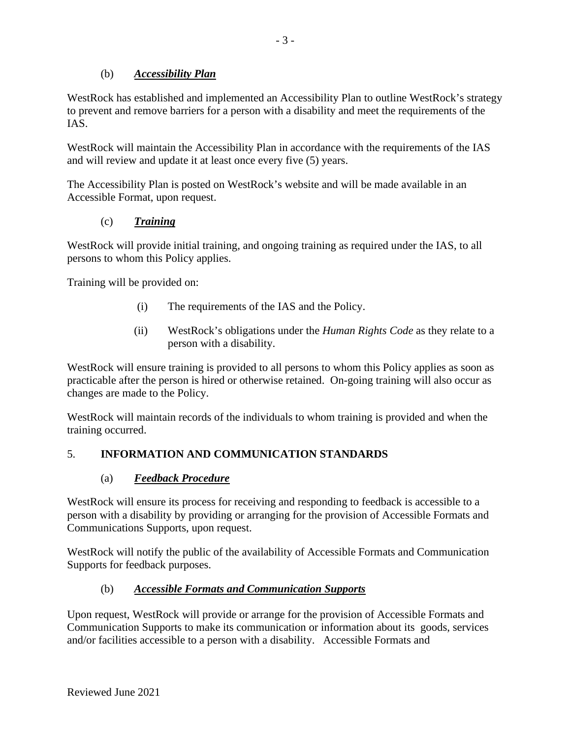### (b) *Accessibility Plan*

WestRock has established and implemented an Accessibility Plan to outline WestRock's strategy to prevent and remove barriers for a person with a disability and meet the requirements of the IAS.

WestRock will maintain the Accessibility Plan in accordance with the requirements of the IAS and will review and update it at least once every five (5) years.

The Accessibility Plan is posted on WestRock's website and will be made available in an Accessible Format, upon request.

## (c) *Training*

WestRock will provide initial training, and ongoing training as required under the IAS, to all persons to whom this Policy applies.

Training will be provided on:

- (i) The requirements of the IAS and the Policy.
- (ii) WestRock's obligations under the *Human Rights Code* as they relate to a person with a disability.

WestRock will ensure training is provided to all persons to whom this Policy applies as soon as practicable after the person is hired or otherwise retained. On-going training will also occur as changes are made to the Policy.

WestRock will maintain records of the individuals to whom training is provided and when the training occurred.

## 5. **INFORMATION AND COMMUNICATION STANDARDS**

## (a) *Feedback Procedure*

WestRock will ensure its process for receiving and responding to feedback is accessible to a person with a disability by providing or arranging for the provision of Accessible Formats and Communications Supports, upon request.

WestRock will notify the public of the availability of Accessible Formats and Communication Supports for feedback purposes.

## (b) *Accessible Formats and Communication Supports*

Upon request, WestRock will provide or arrange for the provision of Accessible Formats and Communication Supports to make its communication or information about its goods, services and/or facilities accessible to a person with a disability. Accessible Formats and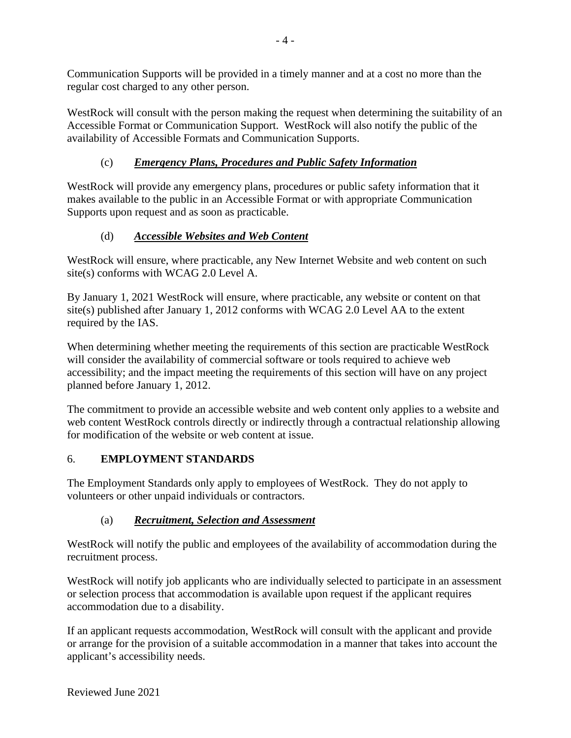Communication Supports will be provided in a timely manner and at a cost no more than the regular cost charged to any other person.

WestRock will consult with the person making the request when determining the suitability of an Accessible Format or Communication Support. WestRock will also notify the public of the availability of Accessible Formats and Communication Supports.

## (c) *Emergency Plans, Procedures and Public Safety Information*

WestRock will provide any emergency plans, procedures or public safety information that it makes available to the public in an Accessible Format or with appropriate Communication Supports upon request and as soon as practicable.

# (d) *Accessible Websites and Web Content*

WestRock will ensure, where practicable, any New Internet Website and web content on such site(s) conforms with WCAG 2.0 Level A.

By January 1, 2021 WestRock will ensure, where practicable, any website or content on that site(s) published after January 1, 2012 conforms with WCAG 2.0 Level AA to the extent required by the IAS.

When determining whether meeting the requirements of this section are practicable WestRock will consider the availability of commercial software or tools required to achieve web accessibility; and the impact meeting the requirements of this section will have on any project planned before January 1, 2012.

The commitment to provide an accessible website and web content only applies to a website and web content WestRock controls directly or indirectly through a contractual relationship allowing for modification of the website or web content at issue.

## 6. **EMPLOYMENT STANDARDS**

The Employment Standards only apply to employees of WestRock. They do not apply to volunteers or other unpaid individuals or contractors.

## (a) *Recruitment, Selection and Assessment*

WestRock will notify the public and employees of the availability of accommodation during the recruitment process.

WestRock will notify job applicants who are individually selected to participate in an assessment or selection process that accommodation is available upon request if the applicant requires accommodation due to a disability.

If an applicant requests accommodation, WestRock will consult with the applicant and provide or arrange for the provision of a suitable accommodation in a manner that takes into account the applicant's accessibility needs.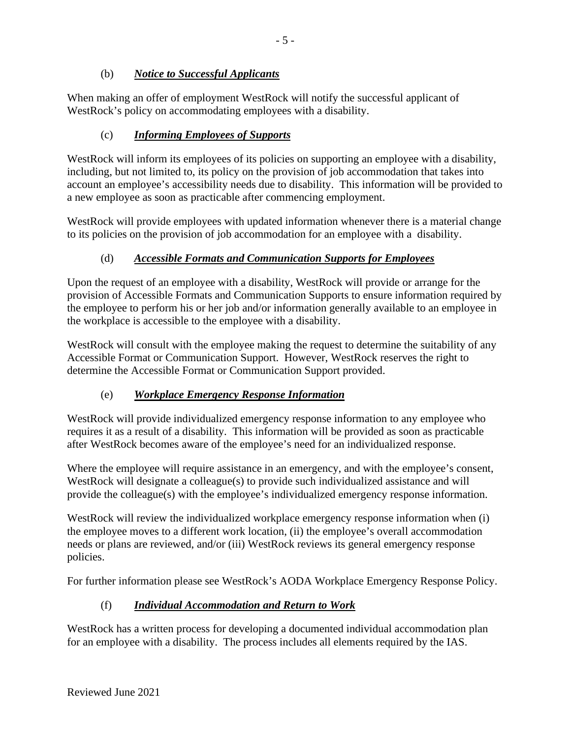### (b) *Notice to Successful Applicants*

When making an offer of employment WestRock will notify the successful applicant of WestRock's policy on accommodating employees with a disability.

## (c) *Informing Employees of Supports*

WestRock will inform its employees of its policies on supporting an employee with a disability, including, but not limited to, its policy on the provision of job accommodation that takes into account an employee's accessibility needs due to disability. This information will be provided to a new employee as soon as practicable after commencing employment.

WestRock will provide employees with updated information whenever there is a material change to its policies on the provision of job accommodation for an employee with a disability.

### (d) *Accessible Formats and Communication Supports for Employees*

Upon the request of an employee with a disability, WestRock will provide or arrange for the provision of Accessible Formats and Communication Supports to ensure information required by the employee to perform his or her job and/or information generally available to an employee in the workplace is accessible to the employee with a disability.

WestRock will consult with the employee making the request to determine the suitability of any Accessible Format or Communication Support. However, WestRock reserves the right to determine the Accessible Format or Communication Support provided.

### (e) *Workplace Emergency Response Information*

WestRock will provide individualized emergency response information to any employee who requires it as a result of a disability. This information will be provided as soon as practicable after WestRock becomes aware of the employee's need for an individualized response.

Where the employee will require assistance in an emergency, and with the employee's consent, WestRock will designate a colleague(s) to provide such individualized assistance and will provide the colleague(s) with the employee's individualized emergency response information.

WestRock will review the individualized workplace emergency response information when (i) the employee moves to a different work location, (ii) the employee's overall accommodation needs or plans are reviewed, and/or (iii) WestRock reviews its general emergency response policies.

For further information please see WestRock's AODA Workplace Emergency Response Policy.

### (f) *Individual Accommodation and Return to Work*

WestRock has a written process for developing a documented individual accommodation plan for an employee with a disability. The process includes all elements required by the IAS.